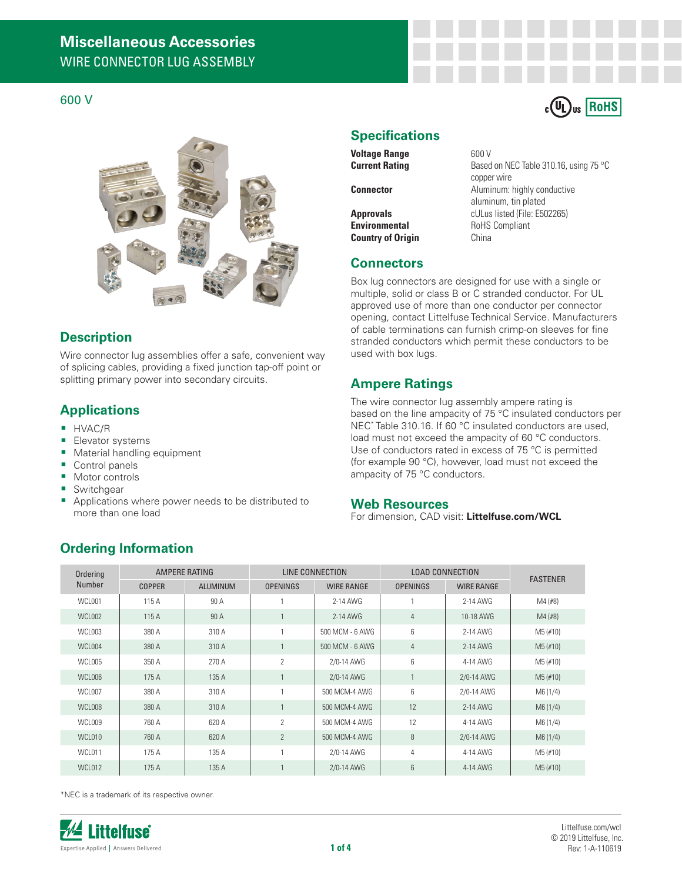#### 600 V



## **Description**

Wire connector lug assemblies offer a safe, convenient way of splicing cables, providing a fixed junction tap-off point or splitting primary power into secondary circuits.

### **Applications**

- **HVAC/R**
- **Elevator systems**
- **Material handling equipment**
- Control panels
- **Motor controls**
- Switchgear
- **Applications where power needs to be distributed to** more than one load

### **Specifications**

**Voltage Range** 600 V<br> **Current Rating** Based

**Country of Origin** China

Based on NEC Table 310.16, using 75 °C copper wire **Connector Connector Aluminum:** highly conductive aluminum, tin plated **Approvals CULus listed (File: E502265)**<br> **Environmental** RoHS Compliant **RoHS Compliant** 

 $_{c}$ (U<sub>L</sub>)<sub>us</sub> RoHS

### **Connectors**

Box lug connectors are designed for use with a single or multiple, solid or class B or C stranded conductor. For UL approved use of more than one conductor per connector opening, contact Littelfuse Technical Service. Manufacturers of cable terminations can furnish crimp-on sleeves for fine stranded conductors which permit these conductors to be used with box lugs.

## **Ampere Ratings**

The wire connector lug assembly ampere rating is based on the line ampacity of 75 °C insulated conductors per NEC\* Table 310.16. If 60 °C insulated conductors are used, load must not exceed the ampacity of 60 °C conductors. Use of conductors rated in excess of 75 °C is permitted (for example 90 °C), however, load must not exceed the ampacity of 75 °C conductors.

#### **Web Resources**

For dimension, CAD visit: **Littelfuse.com/WCL**

# **Ordering Information**

| Ordering<br>Number | <b>AMPERE RATING</b> |                 | LINE CONNECTION |                   | <b>LOAD CONNECTION</b> |                   | <b>FASTENER</b> |
|--------------------|----------------------|-----------------|-----------------|-------------------|------------------------|-------------------|-----------------|
|                    | <b>COPPER</b>        | <b>ALUMINUM</b> | <b>OPENINGS</b> | <b>WIRE RANGE</b> | <b>OPENINGS</b>        | <b>WIRE RANGE</b> |                 |
| WCL001             | 115 A                | 90 A            |                 | 2-14 AWG          |                        | 2-14 AWG          | $M4$ (#8)       |
| WCL002             | 115A                 | 90 A            |                 | $2-14$ AWG        | $\overline{4}$         | 10-18 AWG         | $M4$ (#8)       |
| WCL003             | 380 A                | 310 A           | ł.              | 500 MCM - 6 AWG   | 6                      | 2-14 AWG          | $M5$ (#10)      |
| WCL004             | 380 A                | 310 A           |                 | 500 MCM - 6 AWG   | 4                      | $2-14$ AWG        | $M5$ (#10)      |
| <b>WCL005</b>      | 350 A                | 270 A           | $\overline{2}$  | 2/0-14 AWG        | 6                      | 4-14 AWG          | $M5$ (#10)      |
| WCL006             | 175A                 | 135 A           | $\overline{1}$  | 2/0-14 AWG        | $\mathbf{1}$           | 2/0-14 AWG        | $M5$ (#10)      |
| WCL007             | 380 A                | 310 A           |                 | 500 MCM-4 AWG     | 6                      | 2/0-14 AWG        | M6 (1/4)        |
| WCL008             | 380 A                | 310 A           |                 | 500 MCM-4 AWG     | 12                     | 2-14 AWG          | M6(1/4)         |
| WCL009             | 760 A                | 620 A           | $\overline{2}$  | 500 MCM-4 AWG     | 12                     | 4-14 AWG          | M6 (1/4)        |
| WCL010             | 760 A                | 620 A           | $\overline{2}$  | 500 MCM-4 AWG     | $\, 8$                 | 2/0-14 AWG        | M6(1/4)         |
| WCL011             | 175 A                | 135 A           | $\overline{ }$  | 2/0-14 AWG        | 4                      | 4-14 AWG          | $M5$ (#10)      |
| WCL012             | 175 A                | 135 A           |                 | 2/0-14 AWG        | $6\phantom{1}$         | 4-14 AWG          | $M5$ (#10)      |

\*NEC is a trademark of its respective owner.

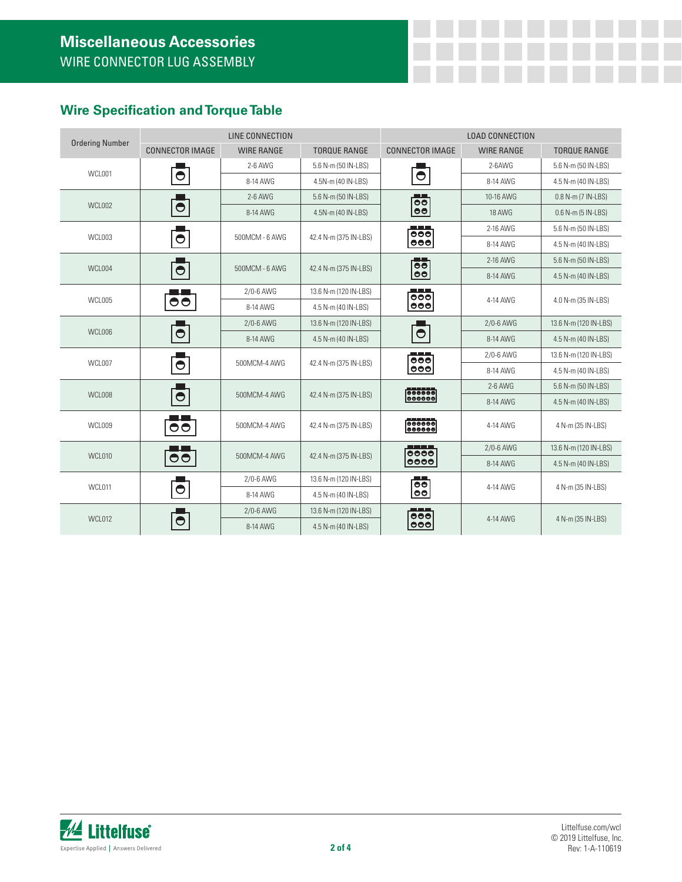## **Wire Specification and Torque Table**

| <b>Ordering Number</b> |                                        | LINE CONNECTION   |                       | <b>LOAD CONNECTION</b>                                    |                   |                       |  |
|------------------------|----------------------------------------|-------------------|-----------------------|-----------------------------------------------------------|-------------------|-----------------------|--|
|                        | <b>CONNECTOR IMAGE</b>                 | <b>WIRE RANGE</b> | <b>TORQUE RANGE</b>   | <b>CONNECTOR IMAGE</b>                                    | <b>WIRE RANGE</b> | <b>TORQUE RANGE</b>   |  |
| WCL001                 |                                        | 2-6 AWG           | 5.6 N-m (50 IN-LBS)   |                                                           | 2-6AWG            | 5.6 N-m (50 IN-LBS)   |  |
|                        | $\bullet$                              | 8-14 AWG          | 4.5N-m (40 IN-LBS)    | $\bullet$                                                 | 8-14 AWG          | 4.5 N-m (40 IN-LBS)   |  |
|                        |                                        | 2-6 AWG           | 5.6 N-m (50 IN-LBS)   | $\overline{\bullet}$                                      | 10-16 AWG         | 0.8 N-m (7 IN-LBS)    |  |
| WCL002                 | $\bullet$                              | 8-14 AWG          | 4.5N-m (40 IN-LBS)    | $ \bullet\bullet $                                        | 18 AWG            | 0.6 N-m (5 IN-LBS)    |  |
| WCL003                 | $\bullet$                              | 500MCM - 6 AWG    | 42.4 N-m (375 IN-LBS) | $\frac{1}{000}$<br>000                                    | 2-16 AWG          | 5.6 N-m (50 IN-LBS)   |  |
|                        |                                        |                   |                       |                                                           | 8-14 AWG          | 4.5 N-m (40 IN-LBS)   |  |
| WCL004                 | $\bullet$                              | 500MCM - 6 AWG    | 42.4 N-m (375 IN-LBS) | 66<br>loo.                                                | 2-16 AWG          | 5.6 N-m (50 IN-LBS)   |  |
|                        |                                        |                   |                       |                                                           | 8-14 AWG          | 4.5 N-m (40 IN-LBS)   |  |
| WCL005                 | $\overline{\bullet}\overline{\bullet}$ | 2/0-6 AWG         | 13.6 N-m (120 IN-LBS) | $\overline{\bullet}$                                      | 4-14 AWG          | 4.0 N-m (35 IN-LBS)   |  |
|                        |                                        | 8-14 AWG          | 4.5 N-m (40 IN-LBS)   | $\bullet\bullet\bullet$                                   |                   |                       |  |
| WCL006                 | $\bullet$                              | 2/0-6 AWG         | 13.6 N-m (120 IN-LBS) |                                                           | 2/0-6 AWG         | 13.6 N-m (120 IN-LBS) |  |
|                        |                                        | 8-14 AWG          | 4.5 N-m (40 IN-LBS)   | $\bullet$                                                 | 8-14 AWG          | 4.5 N-m (40 IN-LBS)   |  |
|                        |                                        | 500MCM-4 AWG      | 42.4 N-m (375 IN-LBS) | $\frac{1}{000}$<br>$\bullet\bullet\bullet$                | 2/0-6 AWG         | 13.6 N-m (120 IN-LBS) |  |
| WCL007                 | $\bullet$                              |                   |                       |                                                           | 8-14 AWG          | 4.5 N-m (40 IN-LBS)   |  |
| WCL008                 |                                        | 500MCM-4 AWG      | 42.4 N-m (375 IN-LBS) | $\begin{array}{ c c }\n \hline \text{000000} \end{array}$ | $2-6$ AWG         | 5.6 N-m (50 IN-LBS)   |  |
|                        | $\bullet$                              |                   |                       |                                                           | 8-14 AWG          | 4.5 N-m (40 IN-LBS)   |  |
| WCL009                 | $\bullet\bullet$                       | 500MCM-4 AWG      | 42.4 N-m (375 IN-LBS) | $\frac{1}{0000000}$                                       | 4-14 AWG          | 4 N-m (35 IN-LBS)     |  |
| WCL010                 | $\bullet\bullet$                       | 500MCM-4 AWG      | 42.4 N-m (375 IN-LBS) | _____<br>0000<br>0000                                     | 2/0-6 AWG         | 13.6 N-m (120 IN-LBS) |  |
|                        |                                        |                   |                       |                                                           | 8-14 AWG          | 4.5 N-m (40 IN-LBS)   |  |
| WCL011                 |                                        | 2/0-6 AWG         | 13.6 N-m (120 IN-LBS) | الكاتب<br>$\overline{\bullet}$                            | 4-14 AWG          | 4 N-m (35 IN-LBS)     |  |
|                        | $\bullet$                              | 8-14 AWG          | 4.5 N-m (40 IN-LBS)   | 00                                                        |                   |                       |  |
| WCL012                 |                                        | 2/0-6 AWG         | 13.6 N-m (120 IN-LBS) | $\frac{1}{600}$                                           | 4-14 AWG          | 4 N-m (35 IN-LBS)     |  |
|                        | ◓                                      | 8-14 AWG          | 4.5 N-m (40 IN-LBS)   | 000                                                       |                   |                       |  |

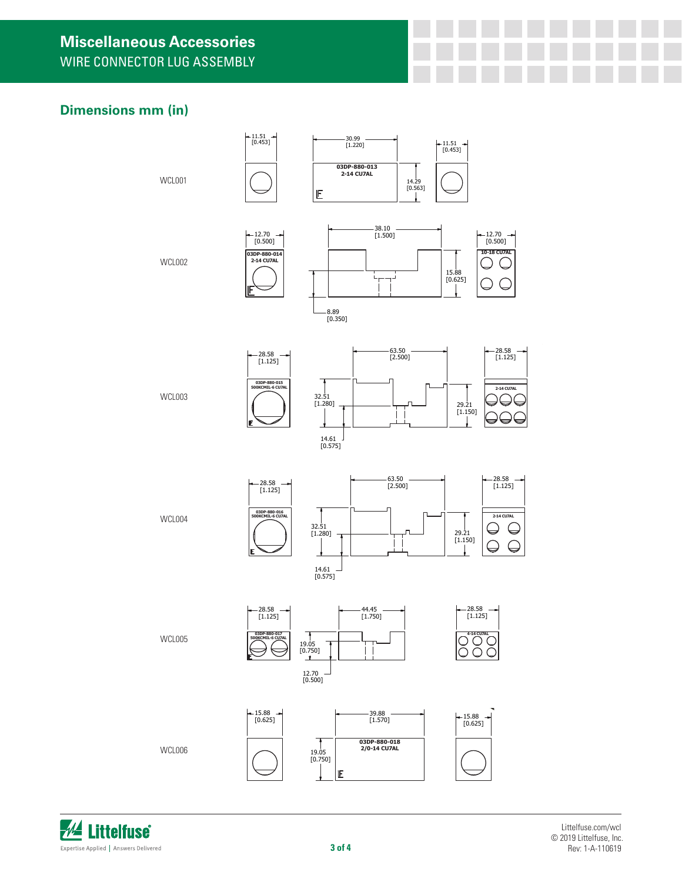# **Dimensions mm (in)**





myork 8/17/2018 and 17/2018